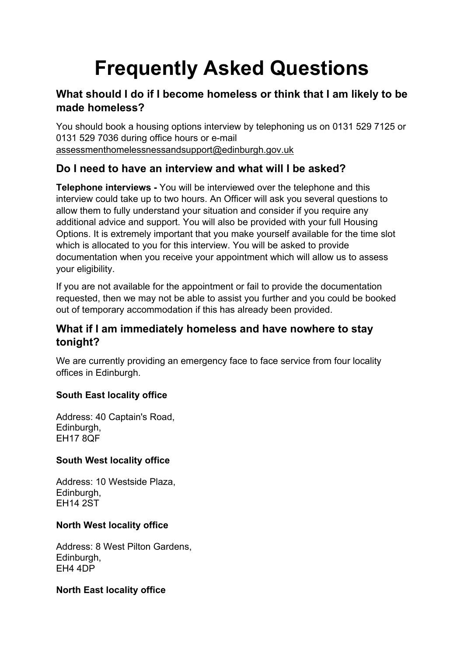# **Frequently Asked Questions**

# **What should I do if I become homeless or think that I am likely to be made homeless?**

You should book a housing options interview by telephoning us on 0131 529 7125 or 0131 529 7036 during office hours or e-mail [assessmenthomelessnessandsupport@edinburgh.gov.uk](mailto:assessmenthomelessnessandsupport@edinburgh.gov.uk)

# **Do I need to have an interview and what will I be asked?**

**Telephone interviews -** You will be interviewed over the telephone and this interview could take up to two hours. An Officer will ask you several questions to allow them to fully understand your situation and consider if you require any additional advice and support. You will also be provided with your full Housing Options. It is extremely important that you make yourself available for the time slot which is allocated to you for this interview. You will be asked to provide documentation when you receive your appointment which will allow us to assess your eligibility.

If you are not available for the appointment or fail to provide the documentation requested, then we may not be able to assist you further and you could be booked out of temporary accommodation if this has already been provided.

# **What if I am immediately homeless and have nowhere to stay tonight?**

We are currently providing an emergency face to face service from four locality offices in Edinburgh.

#### **South East locality office**

Address: 40 Captain's Road, Edinburgh, EH17 8QF

#### **South West locality office**

Address: 10 Westside Plaza, Edinburgh, EH14 2ST

#### **North West locality office**

Address: 8 West Pilton Gardens, Edinburgh, EH4 4DP

#### **North East locality office**